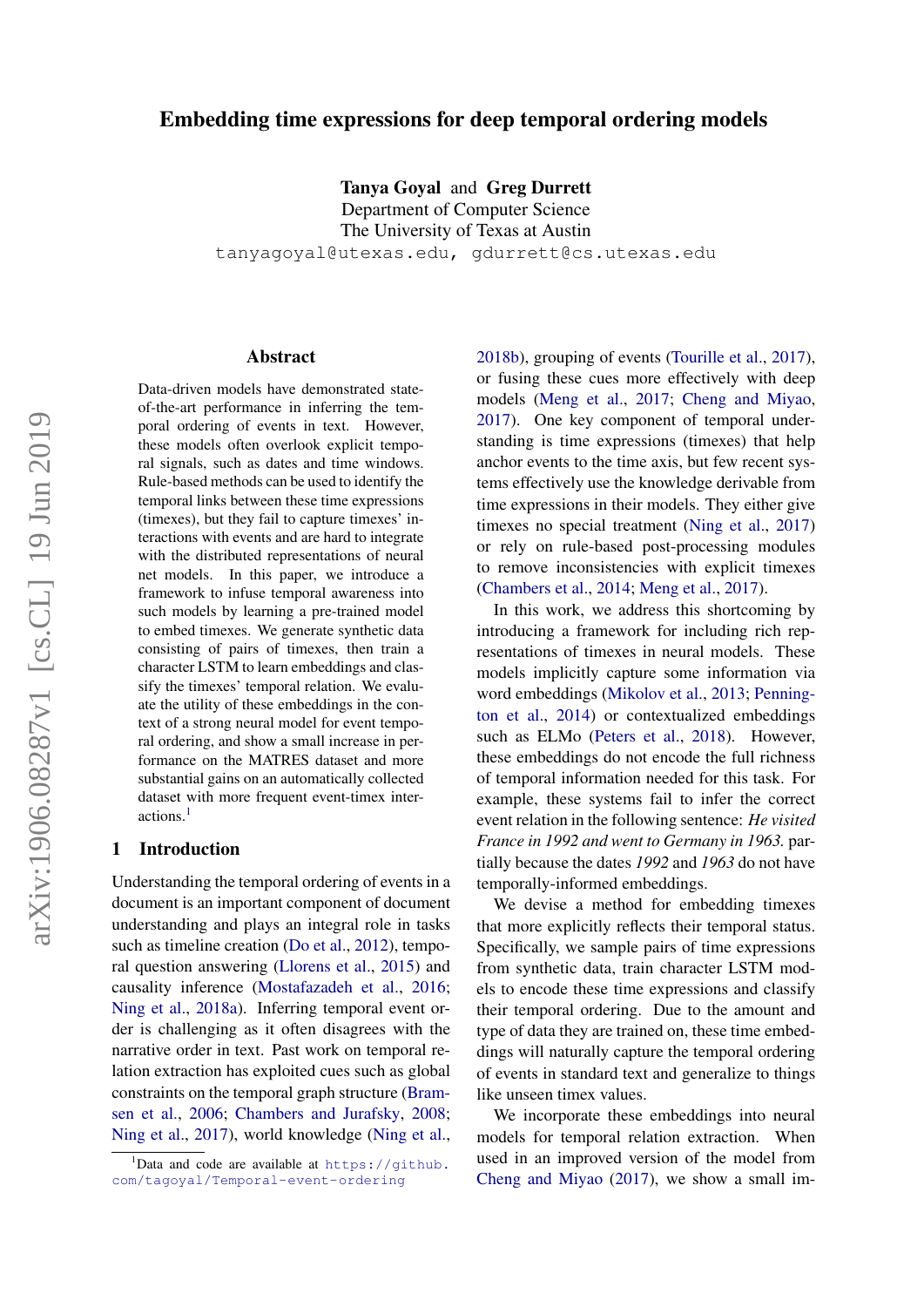# Embedding time expressions for deep temporal ordering models

Tanya Goyal and Greg Durrett

Department of Computer Science The University of Texas at Austin tanyagoyal@utexas.edu, gdurrett@cs.utexas.edu

#### Abstract

Data-driven models have demonstrated stateof-the-art performance in inferring the temporal ordering of events in text. However, these models often overlook explicit temporal signals, such as dates and time windows. Rule-based methods can be used to identify the temporal links between these time expressions (timexes), but they fail to capture timexes' interactions with events and are hard to integrate with the distributed representations of neural net models. In this paper, we introduce a framework to infuse temporal awareness into such models by learning a pre-trained model to embed timexes. We generate synthetic data consisting of pairs of timexes, then train a character LSTM to learn embeddings and classify the timexes' temporal relation. We evaluate the utility of these embeddings in the context of a strong neural model for event temporal ordering, and show a small increase in performance on the MATRES dataset and more substantial gains on an automatically collected dataset with more frequent event-timex interactions.[1](#page-0-0)

## 1 Introduction

Understanding the temporal ordering of events in a document is an important component of document understanding and plays an integral role in tasks such as timeline creation [\(Do et al.,](#page-5-0) [2012\)](#page-5-0), temporal question answering [\(Llorens et al.,](#page-5-1) [2015\)](#page-5-1) and causality inference [\(Mostafazadeh et al.,](#page-5-2) [2016;](#page-5-2) [Ning et al.,](#page-5-3) [2018a\)](#page-5-3). Inferring temporal event order is challenging as it often disagrees with the narrative order in text. Past work on temporal relation extraction has exploited cues such as global constraints on the temporal graph structure [\(Bram](#page-4-0)[sen et al.,](#page-4-0) [2006;](#page-4-0) [Chambers and Jurafsky,](#page-4-1) [2008;](#page-4-1) [Ning et al.,](#page-5-4) [2017\)](#page-5-4), world knowledge [\(Ning et al.,](#page-5-5)

[2018b\)](#page-5-5), grouping of events [\(Tourille et al.,](#page-5-6) [2017\)](#page-5-6), or fusing these cues more effectively with deep models [\(Meng et al.,](#page-5-7) [2017;](#page-5-7) [Cheng and Miyao,](#page-5-8) [2017\)](#page-5-8). One key component of temporal understanding is time expressions (timexes) that help anchor events to the time axis, but few recent systems effectively use the knowledge derivable from time expressions in their models. They either give timexes no special treatment [\(Ning et al.,](#page-5-4) [2017\)](#page-5-4) or rely on rule-based post-processing modules to remove inconsistencies with explicit timexes [\(Chambers et al.,](#page-4-2) [2014;](#page-4-2) [Meng et al.,](#page-5-7) [2017\)](#page-5-7).

In this work, we address this shortcoming by introducing a framework for including rich representations of timexes in neural models. These models implicitly capture some information via word embeddings [\(Mikolov et al.,](#page-5-9) [2013;](#page-5-9) [Penning](#page-5-10)[ton et al.,](#page-5-10) [2014\)](#page-5-10) or contextualized embeddings such as ELMo [\(Peters et al.,](#page-5-11) [2018\)](#page-5-11). However, these embeddings do not encode the full richness of temporal information needed for this task. For example, these systems fail to infer the correct event relation in the following sentence: *He visited France in 1992 and went to Germany in 1963.* partially because the dates *1992* and *1963* do not have temporally-informed embeddings.

We devise a method for embedding timexes that more explicitly reflects their temporal status. Specifically, we sample pairs of time expressions from synthetic data, train character LSTM models to encode these time expressions and classify their temporal ordering. Due to the amount and type of data they are trained on, these time embeddings will naturally capture the temporal ordering of events in standard text and generalize to things like unseen timex values.

We incorporate these embeddings into neural models for temporal relation extraction. When used in an improved version of the model from [Cheng and Miyao](#page-5-8) [\(2017\)](#page-5-8), we show a small im-

<span id="page-0-0"></span><sup>&</sup>lt;sup>1</sup>Data and code are available at  $h$ ttps://github. [com/tagoyal/Temporal-event-ordering](https://github.com/tagoyal/Temporal-event-ordering)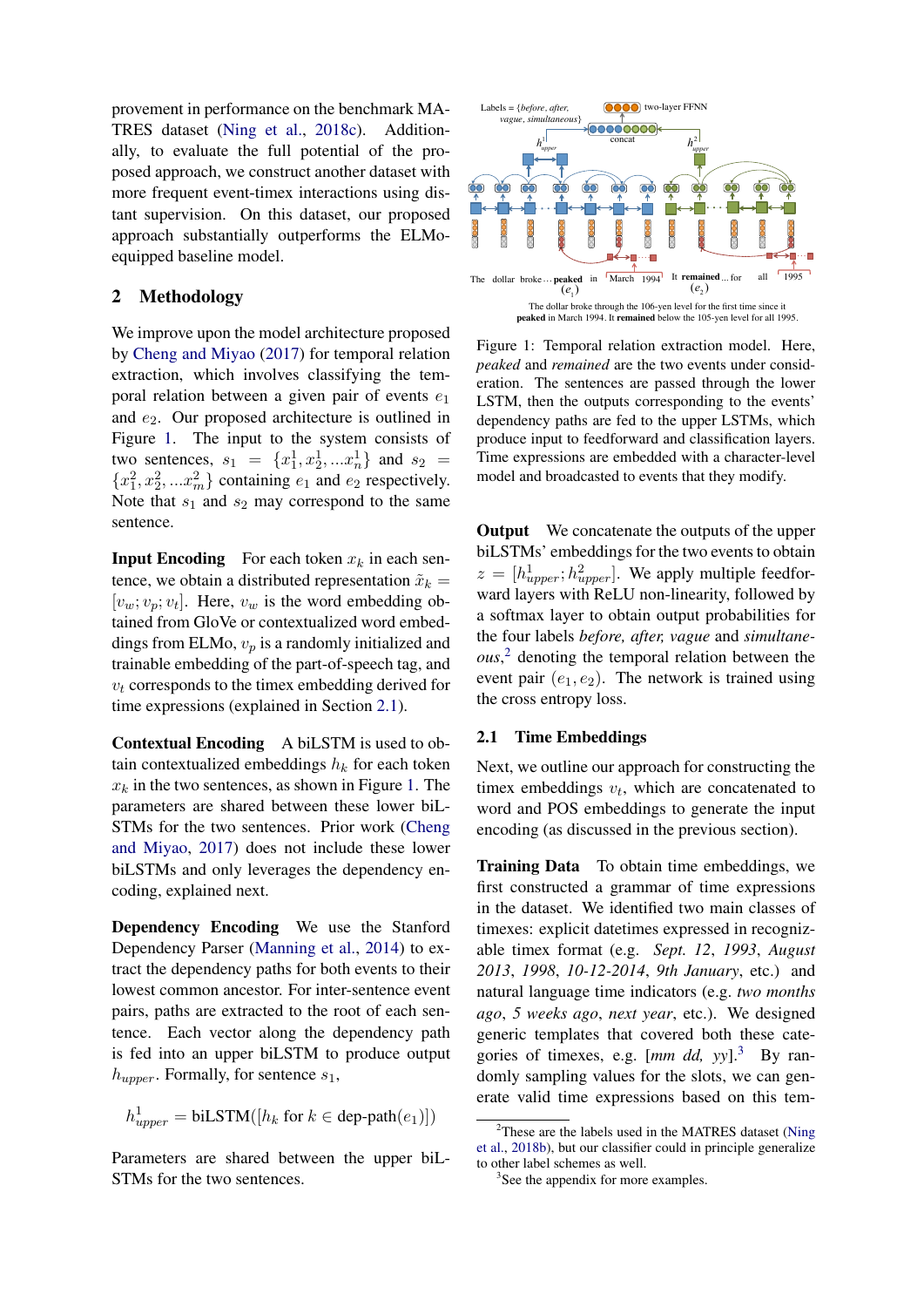provement in performance on the benchmark MA-TRES dataset [\(Ning et al.,](#page-5-12) [2018c\)](#page-5-12). Additionally, to evaluate the full potential of the proposed approach, we construct another dataset with more frequent event-timex interactions using distant supervision. On this dataset, our proposed approach substantially outperforms the ELMoequipped baseline model.

# 2 Methodology

We improve upon the model architecture proposed by [Cheng and Miyao](#page-5-8) [\(2017\)](#page-5-8) for temporal relation extraction, which involves classifying the temporal relation between a given pair of events  $e_1$ and  $e_2$ . Our proposed architecture is outlined in Figure [1.](#page-1-0) The input to the system consists of two sentences,  $s_1 = \{x_1^1, x_2^1, ... x_n^1\}$  and  $s_2 =$  ${x_1^2, x_2^2, ... x_m^2}$  containing  $e_1$  and  $e_2$  respectively. Note that  $s_1$  and  $s_2$  may correspond to the same sentence.

**Input Encoding** For each token  $x_k$  in each sentence, we obtain a distributed representation  $\tilde{x}_k =$  $[v_w; v_p; v_t]$ . Here,  $v_w$  is the word embedding obtained from GloVe or contextualized word embeddings from ELMo,  $v_n$  is a randomly initialized and trainable embedding of the part-of-speech tag, and  $v_t$  corresponds to the timex embedding derived for time expressions (explained in Section [2.1\)](#page-2-0).

Contextual Encoding A biLSTM is used to obtain contextualized embeddings  $h_k$  for each token  $x_k$  in the two sentences, as shown in Figure [1.](#page-1-0) The parameters are shared between these lower biL-STMs for the two sentences. Prior work [\(Cheng](#page-5-8) [and Miyao,](#page-5-8) [2017\)](#page-5-8) does not include these lower biLSTMs and only leverages the dependency encoding, explained next.

Dependency Encoding We use the Stanford Dependency Parser [\(Manning et al.,](#page-5-13) [2014\)](#page-5-13) to extract the dependency paths for both events to their lowest common ancestor. For inter-sentence event pairs, paths are extracted to the root of each sentence. Each vector along the dependency path is fed into an upper biLSTM to produce output  $h_{upper}$ . Formally, for sentence  $s_1$ ,

$$
h_{upper}^1 = \text{biLSTM}([h_k \text{ for } k \in \text{dep-path}(e_1)])
$$

Parameters are shared between the upper biL-

<span id="page-1-0"></span>

Figure 1: Temporal relation extraction model. Here, *peaked* and *remained* are the two events under consideration. The sentences are passed through the lower LSTM, then the outputs corresponding to the events' dependency paths are fed to the upper LSTMs, which produce input to feedforward and classification layers. Time expressions are embedded with a character-level model and broadcasted to events that they modify.

**Output** We concatenate the outputs of the upper biLSTMs' embeddings for the two events to obtain  $z = [h_{upper}^1; h_{upper}^2]$ . We apply multiple feedforward layers with ReLU non-linearity, followed by a softmax layer to obtain output probabilities for the four labels *before, after, vague* and *simultaneous*, [2](#page-1-1) denoting the temporal relation between the event pair  $(e_1, e_2)$ . The network is trained using the cross entropy loss.

#### 2.1 Time Embeddings

Next, we outline our approach for constructing the timex embeddings  $v_t$ , which are concatenated to word and POS embeddings to generate the input encoding (as discussed in the previous section).

We improve upon the model architecture proposed<br>
We improve upon the model architecture proposed<br>
Figure 1. Tensored heating the controllation controllation controllation in<br>the synchron field in the dollar broke through **Training Data** To obtain time embeddings, we first constructed a grammar of time expressions in the dataset. We identified two main classes of timexes: explicit datetimes expressed in recognizable timex format (e.g. *Sept. 12*, *1993*, *August 2013*, *1998*, *10-12-2014*, *9th January*, etc.) and natural language time indicators (e.g. *two months ago*, *5 weeks ago*, *next year*, etc.). We designed generic templates that covered both these categories of timexes, e.g.  $\left[ mm \, dd, vy \right]^3$  $\left[ mm \, dd, vy \right]^3$  By randomly sampling values for the slots, we can generate valid time expressions based on this tem-

<span id="page-1-1"></span> $2$ These are the labels used in the MATRES dataset [\(Ning](#page-5-5) [et al.,](#page-5-5) [2018b\)](#page-5-5), but our classifier could in principle generalize to other label schemes as well.

<span id="page-1-2"></span><sup>&</sup>lt;sup>3</sup>See the appendix for more examples.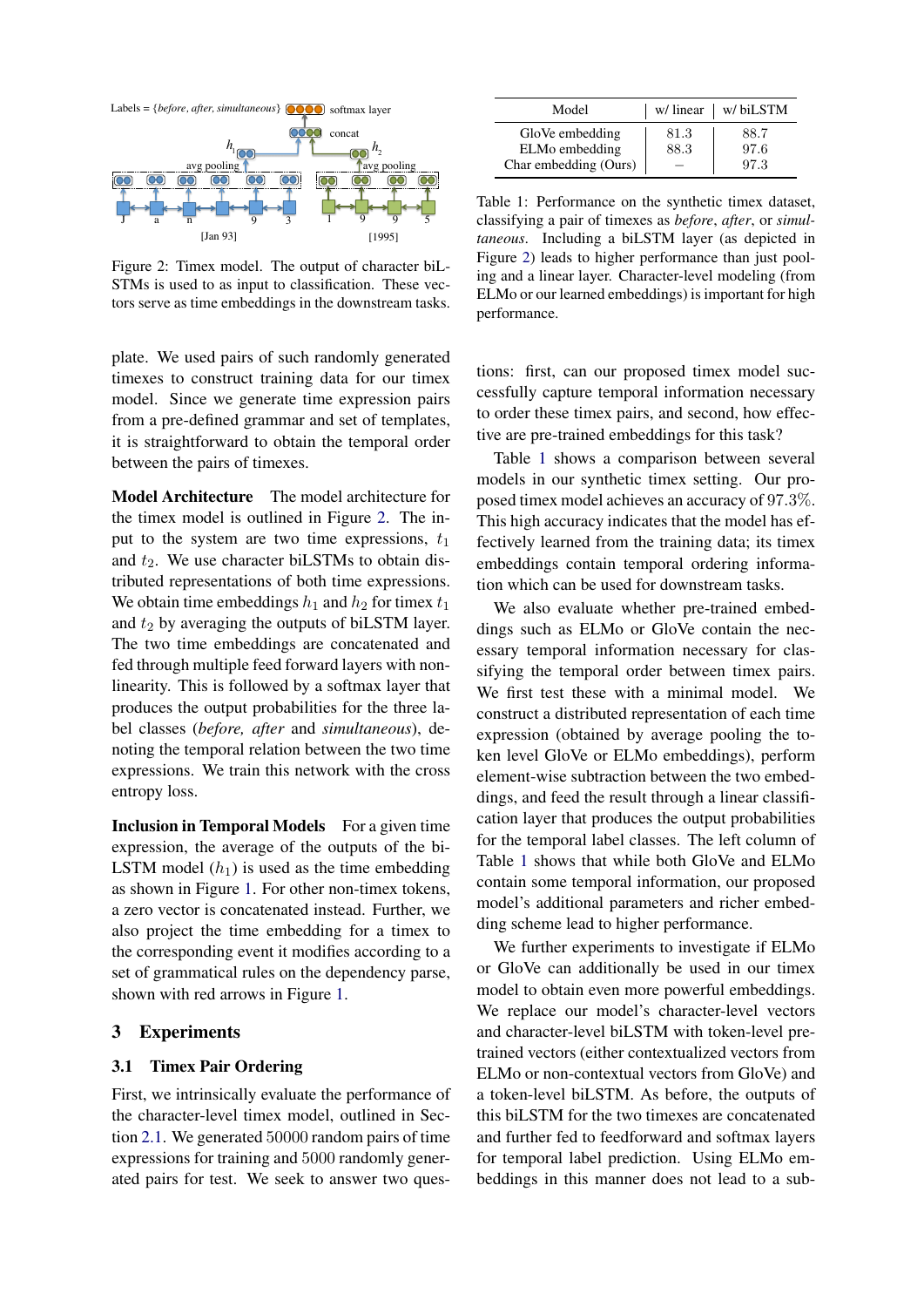<span id="page-2-1"></span>

Figure 2: Timex model. The output of character biL-STMs is used to as input to classification. These vectors serve as time embeddings in the downstream tasks.

plate. We used pairs of such randomly generated timexes to construct training data for our timex model. Since we generate time expression pairs from a pre-defined grammar and set of templates, it is straightforward to obtain the temporal order between the pairs of timexes.

Model Architecture The model architecture for the timex model is outlined in Figure [2.](#page-2-1) The input to the system are two time expressions,  $t_1$ and  $t_2$ . We use character biLSTMs to obtain distributed representations of both time expressions. We obtain time embeddings  $h_1$  and  $h_2$  for timex  $t_1$ and  $t_2$  by averaging the outputs of biLSTM layer. The two time embeddings are concatenated and fed through multiple feed forward layers with nonlinearity. This is followed by a softmax layer that produces the output probabilities for the three label classes (*before, after* and *simultaneous*), denoting the temporal relation between the two time expressions. We train this network with the cross entropy loss.

<span id="page-2-0"></span>Inclusion in Temporal Models For a given time expression, the average of the outputs of the bi-LSTM model  $(h_1)$  is used as the time embedding as shown in Figure [1.](#page-1-0) For other non-timex tokens, a zero vector is concatenated instead. Further, we also project the time embedding for a timex to the corresponding event it modifies according to a set of grammatical rules on the dependency parse, shown with red arrows in Figure [1.](#page-1-0)

## 3 Experiments

## 3.1 Timex Pair Ordering

First, we intrinsically evaluate the performance of the character-level timex model, outlined in Section [2.1.](#page-2-0) We generated 50000 random pairs of time expressions for training and 5000 randomly generated pairs for test. We seek to answer two ques-

<span id="page-2-2"></span>

| Model                             |              | $w$ / linear $ w $ biLSTM |
|-----------------------------------|--------------|---------------------------|
| GloVe embedding<br>ELMo embedding | 81.3<br>88.3 | 88.7<br>97.6              |
| Char embedding (Ours)             |              | 97.3                      |

Table 1: Performance on the synthetic timex dataset, classifying a pair of timexes as *before*, *after*, or *simultaneous*. Including a biLSTM layer (as depicted in Figure [2\)](#page-2-1) leads to higher performance than just pooling and a linear layer. Character-level modeling (from ELMo or our learned embeddings) is important for high performance.

tions: first, can our proposed timex model successfully capture temporal information necessary to order these timex pairs, and second, how effective are pre-trained embeddings for this task?

Table [1](#page-2-2) shows a comparison between several models in our synthetic timex setting. Our proposed timex model achieves an accuracy of 97.3%. This high accuracy indicates that the model has effectively learned from the training data; its timex embeddings contain temporal ordering information which can be used for downstream tasks.

We also evaluate whether pre-trained embeddings such as ELMo or GloVe contain the necessary temporal information necessary for classifying the temporal order between timex pairs. We first test these with a minimal model. We construct a distributed representation of each time expression (obtained by average pooling the token level GloVe or ELMo embeddings), perform element-wise subtraction between the two embeddings, and feed the result through a linear classification layer that produces the output probabilities for the temporal label classes. The left column of Table [1](#page-2-2) shows that while both GloVe and ELMo contain some temporal information, our proposed model's additional parameters and richer embedding scheme lead to higher performance.

We further experiments to investigate if ELMo or GloVe can additionally be used in our timex model to obtain even more powerful embeddings. We replace our model's character-level vectors and character-level biLSTM with token-level pretrained vectors (either contextualized vectors from ELMo or non-contextual vectors from GloVe) and a token-level biLSTM. As before, the outputs of this biLSTM for the two timexes are concatenated and further fed to feedforward and softmax layers for temporal label prediction. Using ELMo embeddings in this manner does not lead to a sub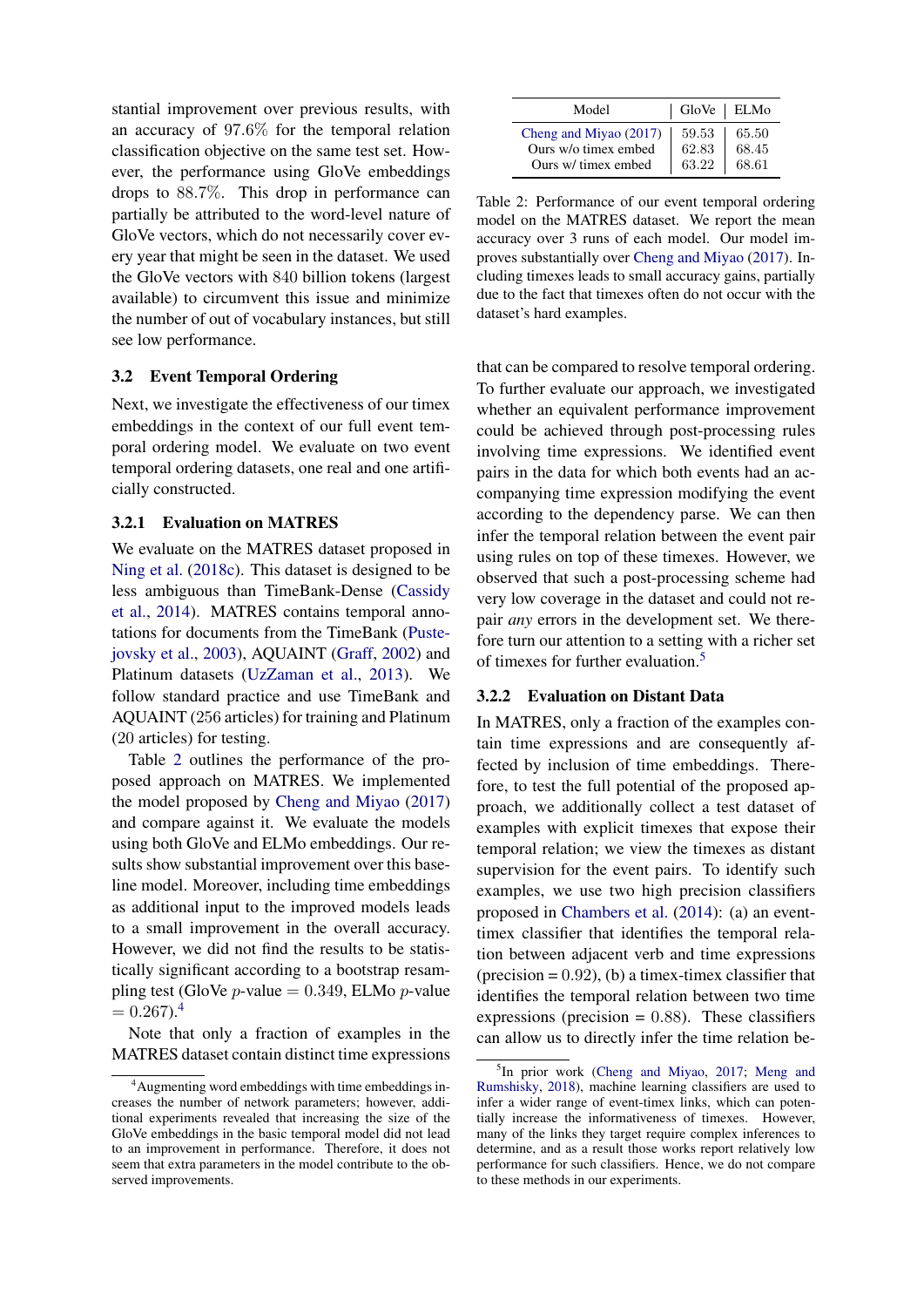stantial improvement over previous results, with an accuracy of 97.6% for the temporal relation classification objective on the same test set. However, the performance using GloVe embeddings drops to 88.7%. This drop in performance can partially be attributed to the word-level nature of GloVe vectors, which do not necessarily cover every year that might be seen in the dataset. We used the GloVe vectors with 840 billion tokens (largest available) to circumvent this issue and minimize the number of out of vocabulary instances, but still see low performance.

### 3.2 Event Temporal Ordering

Next, we investigate the effectiveness of our timex embeddings in the context of our full event temporal ordering model. We evaluate on two event temporal ordering datasets, one real and one artificially constructed.

## 3.2.1 Evaluation on MATRES

We evaluate on the MATRES dataset proposed in [Ning et al.](#page-5-12) [\(2018c\)](#page-5-12). This dataset is designed to be less ambiguous than TimeBank-Dense [\(Cassidy](#page-4-3) [et al.,](#page-4-3) [2014\)](#page-4-3). MATRES contains temporal annotations for documents from the TimeBank [\(Puste](#page-5-14)[jovsky et al.,](#page-5-14) [2003\)](#page-5-14), AQUAINT [\(Graff,](#page-5-15) [2002\)](#page-5-15) and Platinum datasets [\(UzZaman et al.,](#page-5-16) [2013\)](#page-5-16). We follow standard practice and use TimeBank and AQUAINT (256 articles) for training and Platinum (20 articles) for testing.

Table [2](#page-3-0) outlines the performance of the proposed approach on MATRES. We implemented the model proposed by [Cheng and Miyao](#page-5-8) [\(2017\)](#page-5-8) and compare against it. We evaluate the models using both GloVe and ELMo embeddings. Our results show substantial improvement over this baseline model. Moreover, including time embeddings as additional input to the improved models leads to a small improvement in the overall accuracy. However, we did not find the results to be statistically significant according to a bootstrap resampling test (GloVe *p*-value =  $0.349$ , ELMo *p*-value  $= 0.267$ .<sup>[4](#page-3-1)</sup>

Note that only a fraction of examples in the MATRES dataset contain distinct time expressions

<span id="page-3-0"></span>

| Model                  | GloVe   ELMo |       |
|------------------------|--------------|-------|
| Cheng and Miyao (2017) | 59.53        | 65.50 |
| Ours w/o timex embed   | 62.83        | 68.45 |
| Ours w/ timex embed    | 63.22        | 68.61 |

Table 2: Performance of our event temporal ordering model on the MATRES dataset. We report the mean accuracy over 3 runs of each model. Our model improves substantially over [Cheng and Miyao](#page-5-8) [\(2017\)](#page-5-8). Including timexes leads to small accuracy gains, partially due to the fact that timexes often do not occur with the dataset's hard examples.

that can be compared to resolve temporal ordering. To further evaluate our approach, we investigated whether an equivalent performance improvement could be achieved through post-processing rules involving time expressions. We identified event pairs in the data for which both events had an accompanying time expression modifying the event according to the dependency parse. We can then infer the temporal relation between the event pair using rules on top of these timexes. However, we observed that such a post-processing scheme had very low coverage in the dataset and could not repair *any* errors in the development set. We therefore turn our attention to a setting with a richer set of timexes for further evaluation.[5](#page-3-2)

### 3.2.2 Evaluation on Distant Data

In MATRES, only a fraction of the examples contain time expressions and are consequently affected by inclusion of time embeddings. Therefore, to test the full potential of the proposed approach, we additionally collect a test dataset of examples with explicit timexes that expose their temporal relation; we view the timexes as distant supervision for the event pairs. To identify such examples, we use two high precision classifiers proposed in [Chambers et al.](#page-4-2) [\(2014\)](#page-4-2): (a) an eventtimex classifier that identifies the temporal relation between adjacent verb and time expressions  $(\text{precision} = 0.92)$ , (b) a timex-timex classifier that identifies the temporal relation between two time expressions (precision  $= 0.88$ ). These classifiers can allow us to directly infer the time relation be-

<span id="page-3-1"></span><sup>4</sup>Augmenting word embeddings with time embeddings increases the number of network parameters; however, additional experiments revealed that increasing the size of the GloVe embeddings in the basic temporal model did not lead to an improvement in performance. Therefore, it does not seem that extra parameters in the model contribute to the observed improvements.

<span id="page-3-2"></span><sup>&</sup>lt;sup>5</sup>In prior work [\(Cheng and Miyao,](#page-5-8) [2017;](#page-5-8) [Meng and](#page-5-17) [Rumshisky,](#page-5-17) [2018\)](#page-5-17), machine learning classifiers are used to infer a wider range of event-timex links, which can potentially increase the informativeness of timexes. However, many of the links they target require complex inferences to determine, and as a result those works report relatively low performance for such classifiers. Hence, we do not compare to these methods in our experiments.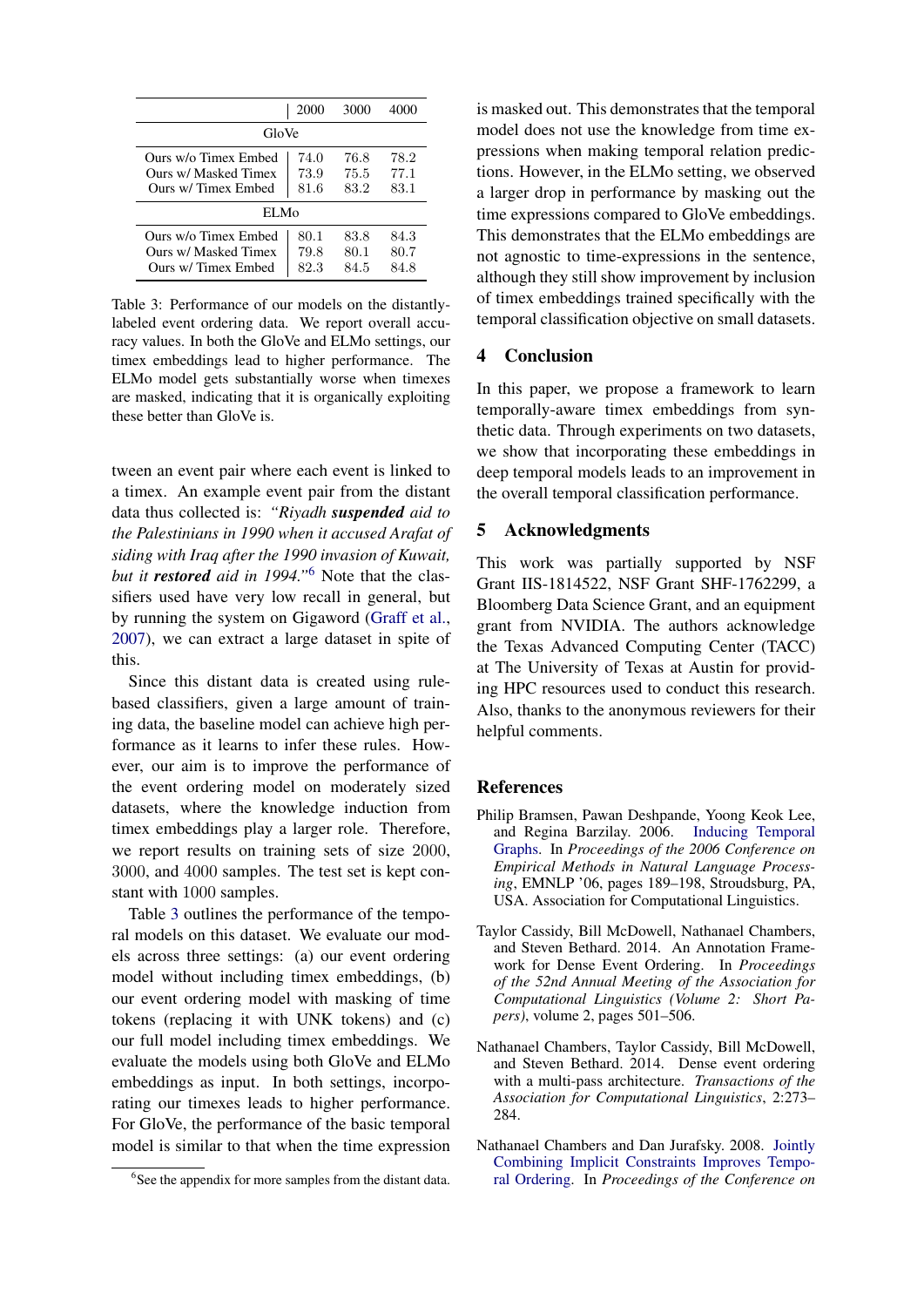<span id="page-4-5"></span>

|                                                                    | 2000                 | 3000                 | 4000                 |  |  |
|--------------------------------------------------------------------|----------------------|----------------------|----------------------|--|--|
| GloVe                                                              |                      |                      |                      |  |  |
| Ours w/o Timex Embed<br>Ours w/ Masked Timex<br>Ours w/Timex Embed | 74.0<br>73.9<br>81.6 | 76.8<br>75.5<br>83.2 | 78.2<br>77.1<br>83.1 |  |  |
| EL Mo                                                              |                      |                      |                      |  |  |
| Ours w/o Timex Embed<br>Ours w/ Masked Timex<br>Ours w/Timex Embed | 80.1<br>79.8<br>82.3 | 83.8<br>80.1<br>84.5 | 84.3<br>80.7<br>84.8 |  |  |

Table 3: Performance of our models on the distantlylabeled event ordering data. We report overall accuracy values. In both the GloVe and ELMo settings, our timex embeddings lead to higher performance. The ELMo model gets substantially worse when timexes are masked, indicating that it is organically exploiting these better than GloVe is.

tween an event pair where each event is linked to a timex. An example event pair from the distant data thus collected is: *"Riyadh suspended aid to the Palestinians in 1990 when it accused Arafat of siding with Iraq after the 1990 invasion of Kuwait, but it restored aid in 1994."*[6](#page-4-4) Note that the classifiers used have very low recall in general, but by running the system on Gigaword [\(Graff et al.,](#page-5-18) [2007\)](#page-5-18), we can extract a large dataset in spite of this.

Since this distant data is created using rulebased classifiers, given a large amount of training data, the baseline model can achieve high performance as it learns to infer these rules. However, our aim is to improve the performance of the event ordering model on moderately sized datasets, where the knowledge induction from timex embeddings play a larger role. Therefore, we report results on training sets of size 2000, 3000, and 4000 samples. The test set is kept constant with 1000 samples.

Table [3](#page-4-5) outlines the performance of the temporal models on this dataset. We evaluate our models across three settings: (a) our event ordering model without including timex embeddings, (b) our event ordering model with masking of time tokens (replacing it with UNK tokens) and (c) our full model including timex embeddings. We evaluate the models using both GloVe and ELMo embeddings as input. In both settings, incorporating our timexes leads to higher performance. For GloVe, the performance of the basic temporal model is similar to that when the time expression

is masked out. This demonstrates that the temporal model does not use the knowledge from time expressions when making temporal relation predictions. However, in the ELMo setting, we observed a larger drop in performance by masking out the time expressions compared to GloVe embeddings. This demonstrates that the ELMo embeddings are not agnostic to time-expressions in the sentence, although they still show improvement by inclusion of timex embeddings trained specifically with the temporal classification objective on small datasets.

## 4 Conclusion

In this paper, we propose a framework to learn temporally-aware timex embeddings from synthetic data. Through experiments on two datasets, we show that incorporating these embeddings in deep temporal models leads to an improvement in the overall temporal classification performance.

## 5 Acknowledgments

This work was partially supported by NSF Grant IIS-1814522, NSF Grant SHF-1762299, a Bloomberg Data Science Grant, and an equipment grant from NVIDIA. The authors acknowledge the Texas Advanced Computing Center (TACC) at The University of Texas at Austin for providing HPC resources used to conduct this research. Also, thanks to the anonymous reviewers for their helpful comments.

### References

- <span id="page-4-0"></span>Philip Bramsen, Pawan Deshpande, Yoong Keok Lee, and Regina Barzilay. 2006. [Inducing Temporal](http://dl.acm.org/citation.cfm?id=1610075.1610105) [Graphs.](http://dl.acm.org/citation.cfm?id=1610075.1610105) In *Proceedings of the 2006 Conference on Empirical Methods in Natural Language Processing*, EMNLP '06, pages 189–198, Stroudsburg, PA, USA. Association for Computational Linguistics.
- <span id="page-4-3"></span>Taylor Cassidy, Bill McDowell, Nathanael Chambers, and Steven Bethard. 2014. An Annotation Framework for Dense Event Ordering. In *Proceedings of the 52nd Annual Meeting of the Association for Computational Linguistics (Volume 2: Short Papers)*, volume 2, pages 501–506.
- <span id="page-4-2"></span>Nathanael Chambers, Taylor Cassidy, Bill McDowell, and Steven Bethard. 2014. Dense event ordering with a multi-pass architecture. *Transactions of the Association for Computational Linguistics*, 2:273– 284.
- <span id="page-4-1"></span>Nathanael Chambers and Dan Jurafsky. 2008. [Jointly](http://dl.acm.org/citation.cfm?id=1613715.1613803) [Combining Implicit Constraints Improves Tempo](http://dl.acm.org/citation.cfm?id=1613715.1613803)[ral Ordering.](http://dl.acm.org/citation.cfm?id=1613715.1613803) In *Proceedings of the Conference on*

<span id="page-4-4"></span><sup>&</sup>lt;sup>6</sup>See the appendix for more samples from the distant data.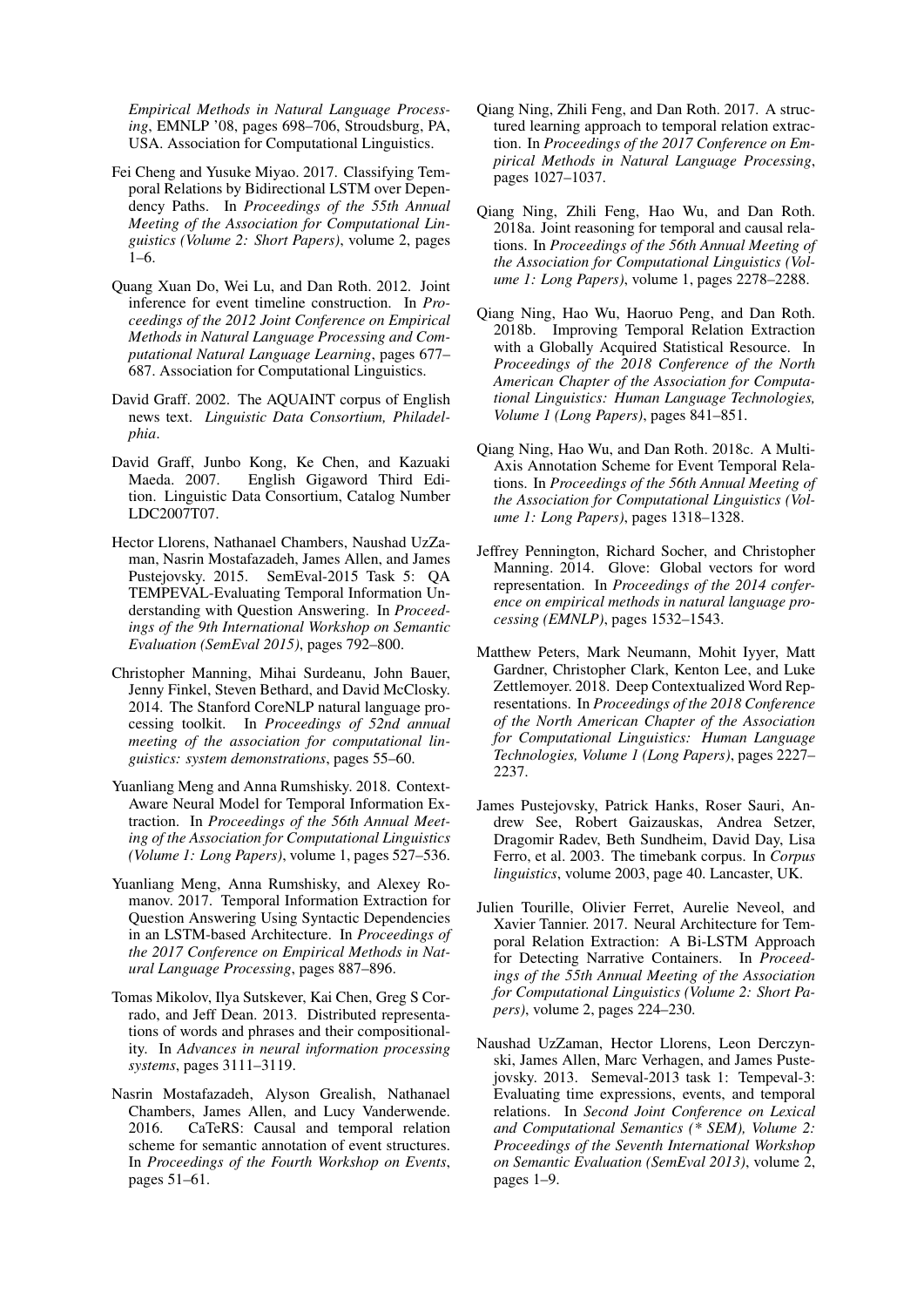*Empirical Methods in Natural Language Processing*, EMNLP '08, pages 698–706, Stroudsburg, PA, USA. Association for Computational Linguistics.

- <span id="page-5-8"></span>Fei Cheng and Yusuke Miyao. 2017. Classifying Temporal Relations by Bidirectional LSTM over Dependency Paths. In *Proceedings of the 55th Annual Meeting of the Association for Computational Linguistics (Volume 2: Short Papers)*, volume 2, pages 1–6.
- <span id="page-5-0"></span>Quang Xuan Do, Wei Lu, and Dan Roth. 2012. Joint inference for event timeline construction. In *Proceedings of the 2012 Joint Conference on Empirical Methods in Natural Language Processing and Computational Natural Language Learning*, pages 677– 687. Association for Computational Linguistics.
- <span id="page-5-15"></span>David Graff. 2002. The AQUAINT corpus of English news text. *Linguistic Data Consortium, Philadelphia*.
- <span id="page-5-18"></span>David Graff, Junbo Kong, Ke Chen, and Kazuaki Maeda. 2007. English Gigaword Third Edition. Linguistic Data Consortium, Catalog Number LDC2007T07.
- <span id="page-5-1"></span>Hector Llorens, Nathanael Chambers, Naushad UzZaman, Nasrin Mostafazadeh, James Allen, and James Pustejovsky. 2015. SemEval-2015 Task 5: QA TEMPEVAL-Evaluating Temporal Information Understanding with Question Answering. In *Proceedings of the 9th International Workshop on Semantic Evaluation (SemEval 2015)*, pages 792–800.
- <span id="page-5-13"></span>Christopher Manning, Mihai Surdeanu, John Bauer, Jenny Finkel, Steven Bethard, and David McClosky. 2014. The Stanford CoreNLP natural language processing toolkit. In *Proceedings of 52nd annual meeting of the association for computational linguistics: system demonstrations*, pages 55–60.
- <span id="page-5-17"></span>Yuanliang Meng and Anna Rumshisky. 2018. Context-Aware Neural Model for Temporal Information Extraction. In *Proceedings of the 56th Annual Meeting of the Association for Computational Linguistics (Volume 1: Long Papers)*, volume 1, pages 527–536.
- <span id="page-5-7"></span>Yuanliang Meng, Anna Rumshisky, and Alexey Romanov. 2017. Temporal Information Extraction for Question Answering Using Syntactic Dependencies in an LSTM-based Architecture. In *Proceedings of the 2017 Conference on Empirical Methods in Natural Language Processing*, pages 887–896.
- <span id="page-5-9"></span>Tomas Mikolov, Ilya Sutskever, Kai Chen, Greg S Corrado, and Jeff Dean. 2013. Distributed representations of words and phrases and their compositionality. In *Advances in neural information processing systems*, pages 3111–3119.
- <span id="page-5-2"></span>Nasrin Mostafazadeh, Alyson Grealish, Nathanael Chambers, James Allen, and Lucy Vanderwende. 2016. CaTeRS: Causal and temporal relation scheme for semantic annotation of event structures. In *Proceedings of the Fourth Workshop on Events*, pages 51–61.
- <span id="page-5-4"></span>Qiang Ning, Zhili Feng, and Dan Roth. 2017. A structured learning approach to temporal relation extraction. In *Proceedings of the 2017 Conference on Empirical Methods in Natural Language Processing*, pages 1027–1037.
- <span id="page-5-3"></span>Qiang Ning, Zhili Feng, Hao Wu, and Dan Roth. 2018a. Joint reasoning for temporal and causal relations. In *Proceedings of the 56th Annual Meeting of the Association for Computational Linguistics (Volume 1: Long Papers)*, volume 1, pages 2278–2288.
- <span id="page-5-5"></span>Qiang Ning, Hao Wu, Haoruo Peng, and Dan Roth. 2018b. Improving Temporal Relation Extraction with a Globally Acquired Statistical Resource. In *Proceedings of the 2018 Conference of the North American Chapter of the Association for Computational Linguistics: Human Language Technologies, Volume 1 (Long Papers)*, pages 841–851.
- <span id="page-5-12"></span>Qiang Ning, Hao Wu, and Dan Roth. 2018c. A Multi-Axis Annotation Scheme for Event Temporal Relations. In *Proceedings of the 56th Annual Meeting of the Association for Computational Linguistics (Volume 1: Long Papers)*, pages 1318–1328.
- <span id="page-5-10"></span>Jeffrey Pennington, Richard Socher, and Christopher Manning. 2014. Glove: Global vectors for word representation. In *Proceedings of the 2014 conference on empirical methods in natural language processing (EMNLP)*, pages 1532–1543.
- <span id="page-5-11"></span>Matthew Peters, Mark Neumann, Mohit Iyyer, Matt Gardner, Christopher Clark, Kenton Lee, and Luke Zettlemoyer. 2018. Deep Contextualized Word Representations. In *Proceedings of the 2018 Conference of the North American Chapter of the Association for Computational Linguistics: Human Language Technologies, Volume 1 (Long Papers)*, pages 2227– 2237.
- <span id="page-5-14"></span>James Pustejovsky, Patrick Hanks, Roser Sauri, Andrew See, Robert Gaizauskas, Andrea Setzer, Dragomir Radev, Beth Sundheim, David Day, Lisa Ferro, et al. 2003. The timebank corpus. In *Corpus linguistics*, volume 2003, page 40. Lancaster, UK.
- <span id="page-5-6"></span>Julien Tourille, Olivier Ferret, Aurelie Neveol, and Xavier Tannier. 2017. Neural Architecture for Temporal Relation Extraction: A Bi-LSTM Approach for Detecting Narrative Containers. In *Proceedings of the 55th Annual Meeting of the Association for Computational Linguistics (Volume 2: Short Papers)*, volume 2, pages 224–230.
- <span id="page-5-16"></span>Naushad UzZaman, Hector Llorens, Leon Derczynski, James Allen, Marc Verhagen, and James Pustejovsky. 2013. Semeval-2013 task 1: Tempeval-3: Evaluating time expressions, events, and temporal relations. In *Second Joint Conference on Lexical and Computational Semantics (\* SEM), Volume 2: Proceedings of the Seventh International Workshop on Semantic Evaluation (SemEval 2013)*, volume 2, pages 1–9.